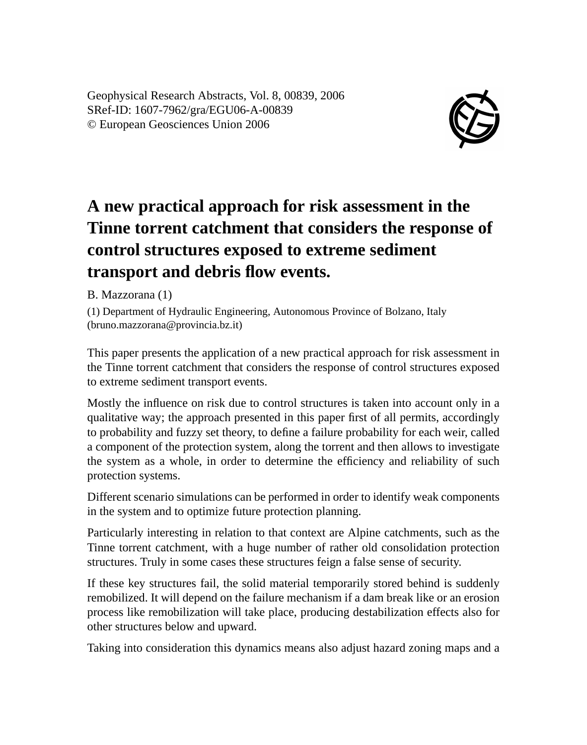Geophysical Research Abstracts, Vol. 8, 00839, 2006 SRef-ID: 1607-7962/gra/EGU06-A-00839 © European Geosciences Union 2006



## **A new practical approach for risk assessment in the Tinne torrent catchment that considers the response of control structures exposed to extreme sediment transport and debris flow events.**

B. Mazzorana (1)

(1) Department of Hydraulic Engineering, Autonomous Province of Bolzano, Italy (bruno.mazzorana@provincia.bz.it)

This paper presents the application of a new practical approach for risk assessment in the Tinne torrent catchment that considers the response of control structures exposed to extreme sediment transport events.

Mostly the influence on risk due to control structures is taken into account only in a qualitative way; the approach presented in this paper first of all permits, accordingly to probability and fuzzy set theory, to define a failure probability for each weir, called a component of the protection system, along the torrent and then allows to investigate the system as a whole, in order to determine the efficiency and reliability of such protection systems.

Different scenario simulations can be performed in order to identify weak components in the system and to optimize future protection planning.

Particularly interesting in relation to that context are Alpine catchments, such as the Tinne torrent catchment, with a huge number of rather old consolidation protection structures. Truly in some cases these structures feign a false sense of security.

If these key structures fail, the solid material temporarily stored behind is suddenly remobilized. It will depend on the failure mechanism if a dam break like or an erosion process like remobilization will take place, producing destabilization effects also for other structures below and upward.

Taking into consideration this dynamics means also adjust hazard zoning maps and a